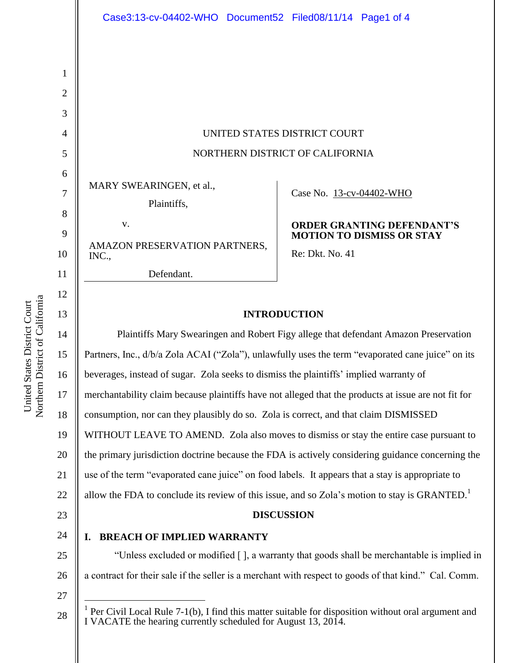UNITED STATES DISTRICT COURT NORTHERN DISTRICT OF CALIFORNIA

MARY SWEARINGEN, et al.,

Plaintiffs,

v. AMAZON PRESERVATION PARTNERS, INC.,

Defendant.

Case No. [13-cv-04402-WHO](https://ecf.cand.uscourts.gov/cgi-bin/DktRpt.pl?270311) 

### **ORDER GRANTING DEFENDANT'S MOTION TO DISMISS OR STAY**

Re: Dkt. No. 41

## **INTRODUCTION**

14 15 16 17 18 19 20 21 22 23 24 25 26 27 Plaintiffs Mary Swearingen and Robert Figy allege that defendant Amazon Preservation Partners, Inc.,  $d/b/a$  Zola ACAI ("Zola"), unlawfully uses the term "evaporated cane juice" on its beverages, instead of sugar. Zola seeks to dismiss the plaintiffs' implied warranty of merchantability claim because plaintiffs have not alleged that the products at issue are not fit for consumption, nor can they plausibly do so. Zola is correct, and that claim DISMISSED WITHOUT LEAVE TO AMEND. Zola also moves to dismiss or stay the entire case pursuant to the primary jurisdiction doctrine because the FDA is actively considering guidance concerning the use of the term "evaporated cane juice" on food labels. It appears that a stay is appropriate to allow the FDA to conclude its review of this issue, and so Zola's motion to stay is GRANTED.<sup>1</sup> **DISCUSSION I. BREACH OF IMPLIED WARRANTY** "Unless excluded or modified [ ], a warranty that goods shall be merchantable is implied in a contract for their sale if the seller is a merchant with respect to goods of that kind." Cal. Comm.  $\overline{a}$ 

- 28
- <sup>1</sup> Per Civil Local Rule 7-1(b), I find this matter suitable for disposition without oral argument and I VACATE the hearing currently scheduled for August 13, 2014.

1

2

3

4

5

6

7

8

9

10

11

12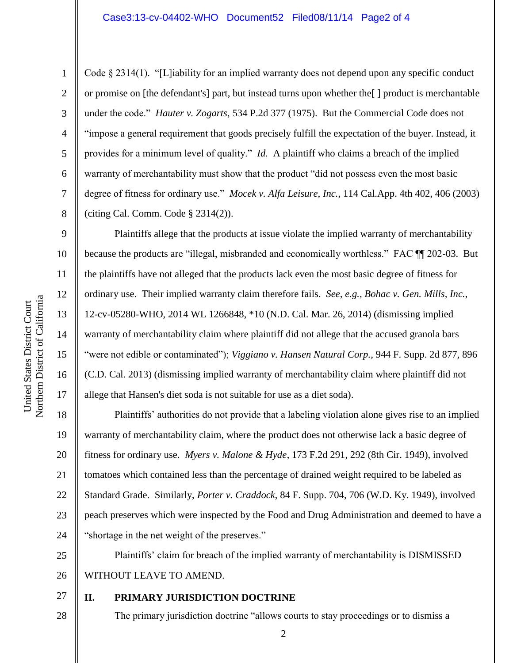Code  $\S 2314(1)$ . "[L]iability for an implied warranty does not depend upon any specific conduct or promise on [the defendant's] part, but instead turns upon whether the[ ] product is merchantable under the code." *Hauter v. Zogarts,* 534 P.2d 377 (1975). But the Commercial Code does not "impose a general requirement that goods precisely fulfill the expectation of the buyer. Instead, it provides for a minimum level of quality." *Id.* A plaintiff who claims a breach of the implied warranty of merchantability must show that the product "did not possess even the most basic degree of fitness for ordinary use." *Mocek v. Alfa Leisure, Inc.,* 114 Cal.App. 4th 402, 406 (2003) (citing Cal. Comm. Code § 2314(2)).

Plaintiffs allege that the products at issue violate the implied warranty of merchantability because the products are "illegal, misbranded and economically worthless." FAC ¶¶ 202-03. But the plaintiffs have not alleged that the products lack even the most basic degree of fitness for ordinary use. Their implied warranty claim therefore fails. *See, e.g., Bohac v. Gen. Mills, Inc.*, 12-cv-05280-WHO, 2014 WL 1266848, \*10 (N.D. Cal. Mar. 26, 2014) (dismissing implied warranty of merchantability claim where plaintiff did not allege that the accused granola bars "were not edible or contaminated"); *Viggiano v. Hansen Natural Corp.*, 944 F. Supp. 2d 877, 896 (C.D. Cal. 2013) (dismissing implied warranty of merchantability claim where plaintiff did not allege that Hansen's diet soda is not suitable for use as a diet soda).

18 19 20 21 22 23 24 Plaintiffs' authorities do not provide that a labeling violation alone gives rise to an implied warranty of merchantability claim, where the product does not otherwise lack a basic degree of fitness for ordinary use. *Myers v. Malone & Hyde*, 173 F.2d 291, 292 (8th Cir. 1949), involved tomatoes which contained less than the percentage of drained weight required to be labeled as Standard Grade. Similarly, *Porter v. Craddock*, 84 F. Supp. 704, 706 (W.D. Ky. 1949), involved peach preserves which were inspected by the Food and Drug Administration and deemed to have a "shortage in the net weight of the preserves."

25 26 Plaintiffs' claim for breach of the implied warranty of merchantability is DISMISSED WITHOUT LEAVE TO AMEND.

27 28

# **II. PRIMARY JURISDICTION DOCTRINE**

The primary jurisdiction doctrine "allows courts to stay proceedings or to dismiss a

1

2

3

4

5

6

7

8

9

10

11

12

13

14

15

16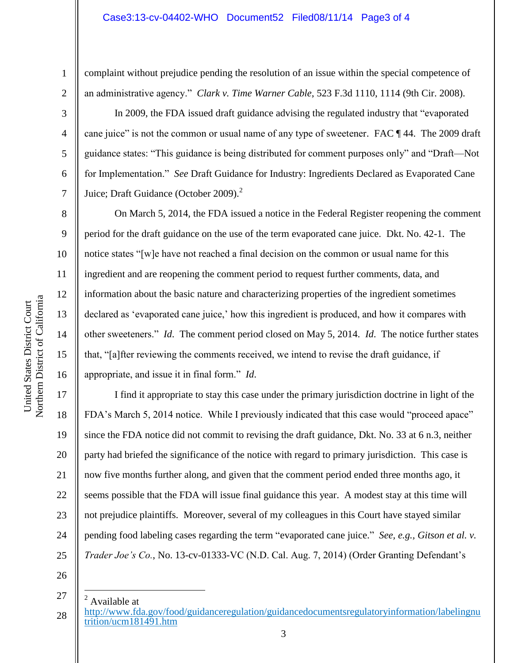complaint without prejudice pending the resolution of an issue within the special competence of an administrative agency." *Clark v. Time Warner Cable*, 523 F.3d 1110, 1114 (9th Cir. 2008).

In 2009, the FDA issued draft guidance advising the regulated industry that "evaporated cane juice" is not the common or usual name of any type of sweetener. FAC ¶ 44. The 2009 draft guidance states: "This guidance is being distributed for comment purposes only" and "Draft—Not for Implementation." *See* Draft Guidance for Industry: Ingredients Declared as Evaporated Cane Juice; Draft Guidance (October 2009).<sup>2</sup>

On March 5, 2014, the FDA issued a notice in the Federal Register reopening the comment period for the draft guidance on the use of the term evaporated cane juice. Dkt. No. 42-1. The notice states "[w]e have not reached a final decision on the common or usual name for this ingredient and are reopening the comment period to request further comments, data, and information about the basic nature and characterizing properties of the ingredient sometimes declared as 'evaporated cane juice,' how this ingredient is produced, and how it compares with other sweeteners." *Id*. The comment period closed on May 5, 2014. *Id*. The notice further states that, "[a]fter reviewing the comments received, we intend to revise the draft guidance, if appropriate, and issue it in final form." *Id*.

20 22 24 I find it appropriate to stay this case under the primary jurisdiction doctrine in light of the FDA's March 5, 2014 notice. While I previously indicated that this case would "proceed apace" since the FDA notice did not commit to revising the draft guidance, Dkt. No. 33 at 6 n.3, neither party had briefed the significance of the notice with regard to primary jurisdiction. This case is now five months further along, and given that the comment period ended three months ago, it seems possible that the FDA will issue final guidance this year. A modest stay at this time will not prejudice plaintiffs. Moreover, several of my colleagues in this Court have stayed similar pending food labeling cases regarding the term "evaporated cane juice." *See, e.g., Gitson et al. v. Trader Joe's Co.*, No. 13-cv-01333-VC (N.D. Cal. Aug. 7, 2014) (Order Granting Defendant's

26

25

27

 $\overline{a}$ 

1

2

3

4

5

6

7

8

9

10

11

12

13

14

15

16

17

18

19

21

<sup>28</sup> <sup>2</sup> Available at [http://www.fda.gov/food/guidanceregulation/guidancedocumentsregulatoryinformation/labelingnu](http://www.fda.gov/food/guidanceregulation/guidancedocumentsregulatoryinformation/labelingnutrition/ucm181491.htm) [trition/ucm181491.htm](http://www.fda.gov/food/guidanceregulation/guidancedocumentsregulatoryinformation/labelingnutrition/ucm181491.htm)